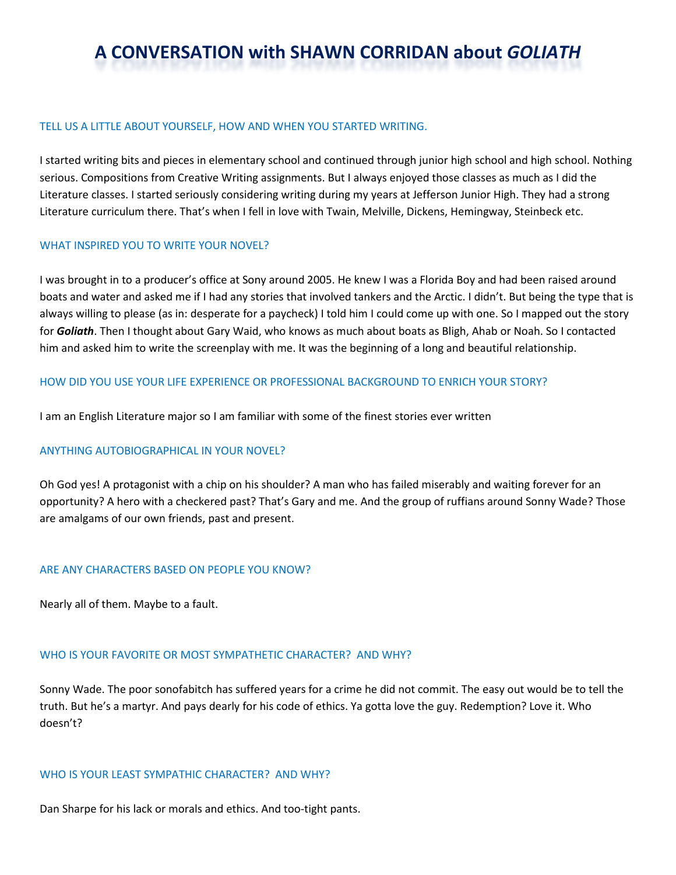# **A CONVERSATION with SHAWN CORRIDAN about** *GOLIATH*

#### TELL US A LITTLE ABOUT YOURSELF, HOW AND WHEN YOU STARTED WRITING.

I started writing bits and pieces in elementary school and continued through junior high school and high school. Nothing serious. Compositions from Creative Writing assignments. But I always enjoyed those classes as much as I did the Literature classes. I started seriously considering writing during my years at Jefferson Junior High. They had a strong Literature curriculum there. That's when I fell in love with Twain, Melville, Dickens, Hemingway, Steinbeck etc.

#### WHAT INSPIRED YOU TO WRITE YOUR NOVEL?

I was brought in to a producer's office at Sony around 2005. He knew I was a Florida Boy and had been raised around boats and water and asked me if I had any stories that involved tankers and the Arctic. I didn't. But being the type that is always willing to please (as in: desperate for a paycheck) I told him I could come up with one. So I mapped out the story for *Goliath*. Then I thought about Gary Waid, who knows as much about boats as Bligh, Ahab or Noah. So I contacted him and asked him to write the screenplay with me. It was the beginning of a long and beautiful relationship.

#### HOW DID YOU USE YOUR LIFE EXPERIENCE OR PROFESSIONAL BACKGROUND TO ENRICH YOUR STORY?

I am an English Literature major so I am familiar with some of the finest stories ever written

# ANYTHING AUTOBIOGRAPHICAL IN YOUR NOVEL?

Oh God yes! A protagonist with a chip on his shoulder? A man who has failed miserably and waiting forever for an opportunity? A hero with a checkered past? That's Gary and me. And the group of ruffians around Sonny Wade? Those are amalgams of our own friends, past and present.

#### ARE ANY CHARACTERS BASED ON PEOPLE YOU KNOW?

Nearly all of them. Maybe to a fault.

#### WHO IS YOUR FAVORITE OR MOST SYMPATHETIC CHARACTER? AND WHY?

Sonny Wade. The poor sonofabitch has suffered years for a crime he did not commit. The easy out would be to tell the truth. But he's a martyr. And pays dearly for his code of ethics. Ya gotta love the guy. Redemption? Love it. Who doesn't?

#### WHO IS YOUR LEAST SYMPATHIC CHARACTER? AND WHY?

Dan Sharpe for his lack or morals and ethics. And too-tight pants.